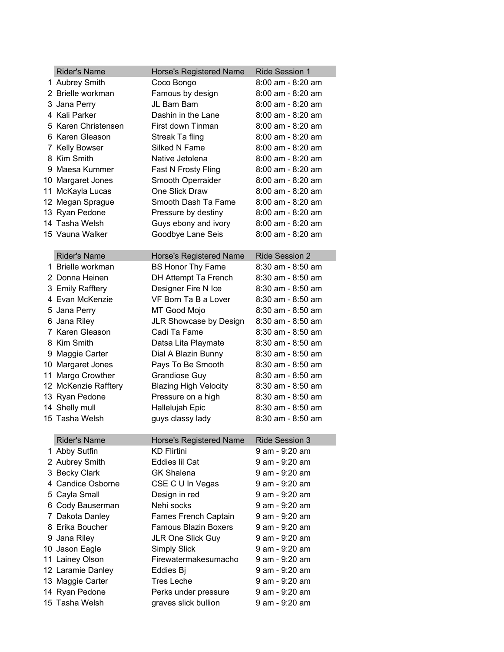| <b>Rider's Name</b>  | Horse's Registered Name       | <b>Ride Session 1</b> |  |  |
|----------------------|-------------------------------|-----------------------|--|--|
| 1 Aubrey Smith       | Coco Bongo                    | $8:00$ am - $8:20$ am |  |  |
| 2 Brielle workman    | Famous by design              | 8:00 am - 8:20 am     |  |  |
| 3 Jana Perry         | JL Bam Bam                    | 8:00 am - 8:20 am     |  |  |
| 4 Kali Parker        | Dashin in the Lane            | 8:00 am - 8:20 am     |  |  |
| 5 Karen Christensen  | First down Tinman             | $8:00$ am - $8:20$ am |  |  |
| 6 Karen Gleason      | Streak Ta fling               | $8:00$ am - $8:20$ am |  |  |
| 7 Kelly Bowser       | Silked N Fame                 | $8:00$ am - $8:20$ am |  |  |
| 8 Kim Smith          | Native Jetolena               | $8:00$ am - $8:20$ am |  |  |
| 9 Maesa Kummer       | Fast N Frosty Fling           | $8:00$ am - $8:20$ am |  |  |
| 10 Margaret Jones    | Smooth Operraider             | $8:00$ am - $8:20$ am |  |  |
| 11 McKayla Lucas     | One Slick Draw                | $8:00$ am - $8:20$ am |  |  |
| 12 Megan Sprague     | Smooth Dash Ta Fame           | 8:00 am - 8:20 am     |  |  |
| 13 Ryan Pedone       | Pressure by destiny           | 8:00 am - 8:20 am     |  |  |
| 14 Tasha Welsh       | Guys ebony and ivory          | $8:00$ am - $8:20$ am |  |  |
| 15 Vauna Walker      | Goodbye Lane Seis             | 8:00 am - 8:20 am     |  |  |
|                      |                               |                       |  |  |
| <b>Rider's Name</b>  | Horse's Registered Name       | <b>Ride Session 2</b> |  |  |
| 1 Brielle workman    | <b>BS Honor Thy Fame</b>      | 8:30 am - 8:50 am     |  |  |
| 2 Donna Heinen       | DH Attempt Ta French          | $8:30$ am - $8:50$ am |  |  |
| 3 Emily Rafftery     | Designer Fire N Ice           | $8:30$ am - $8:50$ am |  |  |
| 4 Evan McKenzie      | VF Born Ta B a Lover          | $8:30$ am - $8:50$ am |  |  |
| 5 Jana Perry         | MT Good Mojo                  | 8:30 am - 8:50 am     |  |  |
| 6 Jana Riley         | <b>JLR Showcase by Design</b> | 8:30 am - 8:50 am     |  |  |
| 7 Karen Gleason      | Cadi Ta Fame                  | 8:30 am - 8:50 am     |  |  |
| 8 Kim Smith          | Datsa Lita Playmate           | 8:30 am - 8:50 am     |  |  |
| 9 Maggie Carter      | Dial A Blazin Bunny           | $8:30$ am - $8:50$ am |  |  |
| 10 Margaret Jones    | Pays To Be Smooth             | 8:30 am - 8:50 am     |  |  |
| 11 Margo Crowther    | <b>Grandiose Guy</b>          | $8:30$ am - $8:50$ am |  |  |
| 12 McKenzie Rafftery | <b>Blazing High Velocity</b>  | $8:30$ am - $8:50$ am |  |  |
| 13 Ryan Pedone       | Pressure on a high            | $8:30$ am - $8:50$ am |  |  |
| 14 Shelly mull       | Hallelujah Epic               | $8:30$ am - $8:50$ am |  |  |
| 15 Tasha Welsh       | guys classy lady              | 8:30 am - 8:50 am     |  |  |
|                      |                               |                       |  |  |
| <b>Rider's Name</b>  | Horse's Registered Name       | <b>Ride Session 3</b> |  |  |
| 1 Abby Sutfin        | <b>KD Flirtini</b>            | 9 am - 9:20 am        |  |  |
| 2 Aubrey Smith       | Eddies Iil Cat                | 9 am - 9:20 am        |  |  |
| 3 Becky Clark        | <b>GK Shalena</b>             | 9 am - 9:20 am        |  |  |
| 4 Candice Osborne    | CSE C U In Vegas              | 9 am - 9:20 am        |  |  |
| 5 Cayla Small        | Design in red                 | 9 am - 9:20 am        |  |  |
| 6 Cody Bauserman     | Nehi socks                    | 9 am - 9:20 am        |  |  |
| 7 Dakota Danley      | Fames French Captain          | 9 am - 9:20 am        |  |  |
| 8 Erika Boucher      | <b>Famous Blazin Boxers</b>   | 9 am - 9:20 am        |  |  |
| 9 Jana Riley         | <b>JLR One Slick Guy</b>      | 9 am - 9:20 am        |  |  |
| 10 Jason Eagle       | <b>Simply Slick</b>           | 9 am - 9:20 am        |  |  |
| 11 Lainey Olson      | Firewatermakesumacho          | 9 am - 9:20 am        |  |  |
| 12 Laramie Danley    | Eddies Bj                     | 9 am - 9:20 am        |  |  |
| 13 Maggie Carter     | <b>Tres Leche</b>             | 9 am - 9:20 am        |  |  |
| 14 Ryan Pedone       | Perks under pressure          | 9 am - 9:20 am        |  |  |
| 15 Tasha Welsh       |                               | 9 am - 9:20 am        |  |  |
|                      | graves slick bullion          |                       |  |  |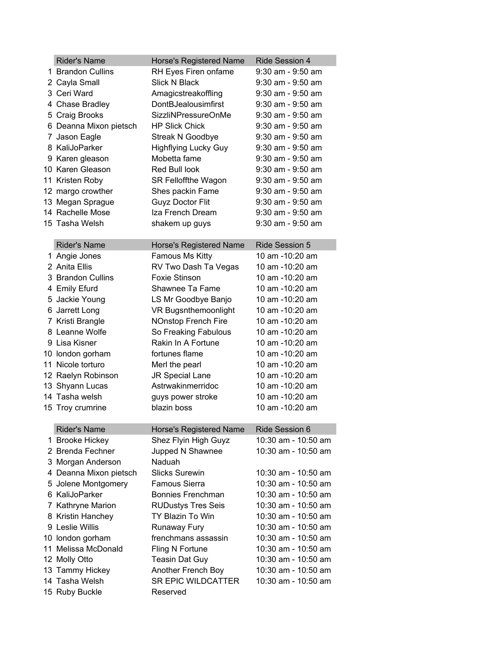| <b>Rider's Name</b>    | <b>Horse's Registered Name</b> | <b>Ride Session 4</b> |
|------------------------|--------------------------------|-----------------------|
| 1 Brandon Cullins      | RH Eyes Firen onfame           | 9:30 am - 9:50 am     |
| 2 Cayla Small          | Slick N Black                  | $9:30$ am - $9:50$ am |
| 3 Ceri Ward            | Amagicstreakoffling            | 9:30 am - 9:50 am     |
| 4 Chase Bradley        | DontBJealousimfirst            | $9:30$ am - $9:50$ am |
| 5 Craig Brooks         | SizzliNPressureOnMe            | 9:30 am - 9:50 am     |
| 6 Deanna Mixon pietsch | <b>HP Slick Chick</b>          | $9:30$ am - $9:50$ am |
| 7 Jason Eagle          | <b>Streak N Goodbye</b>        | $9:30$ am - $9:50$ am |
| 8 KaliJoParker         | <b>Highflying Lucky Guy</b>    | $9:30$ am - $9:50$ am |
| 9 Karen gleason        | Mobetta fame                   | $9:30$ am - $9:50$ am |
| 10 Karen Gleason       | Red Bull look                  | $9:30$ am - $9:50$ am |
| 11 Kristen Roby        | <b>SR Felloffthe Wagon</b>     | $9:30$ am - $9:50$ am |
| 12 margo crowther      | Shes packin Fame               | $9:30$ am - $9:50$ am |
| 13 Megan Sprague       | <b>Guyz Doctor Flit</b>        | $9:30$ am - $9:50$ am |
| 14 Rachelle Mose       | Iza French Dream               | $9:30$ am - $9:50$ am |
| 15 Tasha Welsh         | shakem up guys                 | $9:30$ am - $9:50$ am |
|                        |                                |                       |
| <b>Rider's Name</b>    | <b>Horse's Registered Name</b> | <b>Ride Session 5</b> |
| 1 Angie Jones          | Famous Ms Kitty                | 10 am -10:20 am       |
| 2 Anita Ellis          | RV Two Dash Ta Vegas           | 10 am -10:20 am       |
| 3 Brandon Cullins      | <b>Foxie Stinson</b>           | 10 am -10:20 am       |
| 4 Emily Efurd          | Shawnee Ta Fame                | 10 am -10:20 am       |
| 5 Jackie Young         | LS Mr Goodbye Banjo            | 10 am -10:20 am       |
| 6 Jarrett Long         | VR Bugsnthemoonlight           | 10 am -10:20 am       |
| 7 Kristi Brangle       | <b>NOnstop French Fire</b>     | 10 am -10:20 am       |
| 8 Leanne Wolfe         | So Freaking Fabulous           | 10 am -10:20 am       |
| 9 Lisa Kisner          | Rakin In A Fortune             | 10 am -10:20 am       |
| 10 london gorham       | fortunes flame                 | 10 am -10:20 am       |
| 11 Nicole torturo      | Merl the pearl                 | 10 am -10:20 am       |
| 12 Raelyn Robinson     | JR Special Lane                | 10 am -10:20 am       |
| 13 Shyann Lucas        | Astrwakinmerridoc              | 10 am -10:20 am       |
| 14 Tasha welsh         | guys power stroke              | 10 am -10:20 am       |
| 15 Troy crumrine       | blazin boss                    | 10 am -10:20 am       |
|                        |                                |                       |
| <b>Rider's Name</b>    | <b>Horse's Registered Name</b> | Ride Session 6        |
| 1 Brooke Hickey        | Shez Flyin High Guyz           | 10:30 am - 10:50 am   |
| 2 Brenda Fechner       | Jupped N Shawnee               | 10:30 am - 10:50 am   |
| 3 Morgan Anderson      | Naduah                         |                       |
| 4 Deanna Mixon pietsch | <b>Slicks Surewin</b>          | 10:30 am - 10:50 am   |
| 5 Jolene Montgomery    | Famous Sierra                  | 10:30 am - 10:50 am   |
| 6 KaliJoParker         | Bonnies Frenchman              | 10:30 am - 10:50 am   |
| 7 Kathryne Marion      | <b>RUDustys Tres Seis</b>      | 10:30 am - 10:50 am   |
| 8 Kristin Hanchey      | TY Blazin To Win               | 10:30 am - 10:50 am   |
| 9 Leslie Willis        | Runaway Fury                   | 10:30 am - 10:50 am   |
| 10 london gorham       | frenchmans assassin            | 10:30 am - 10:50 am   |
| 11 Melissa McDonald    | Fling N Fortune                | 10:30 am - 10:50 am   |
| 12 Molly Otto          | <b>Teasin Dat Guy</b>          | 10:30 am - 10:50 am   |
| 13 Tammy Hickey        | Another French Boy             | 10:30 am - 10:50 am   |
| 14 Tasha Welsh         | <b>SR EPIC WILDCATTER</b>      | 10:30 am - 10:50 am   |
| 15 Ruby Buckle         | Reserved                       |                       |
|                        |                                |                       |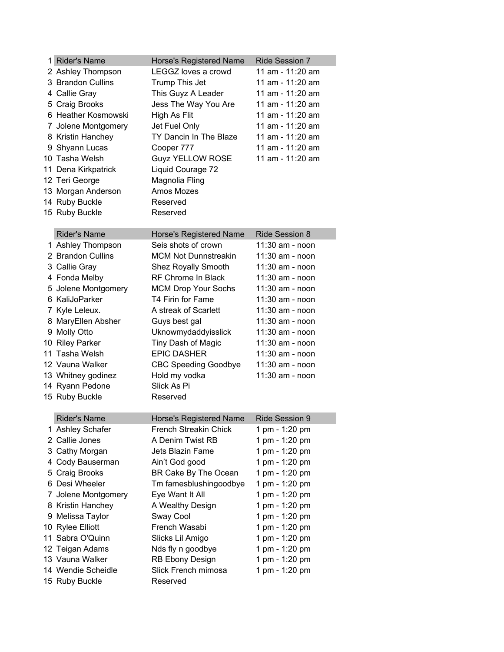| 1 Rider's Name      | Horse's Registered Name        | Ride Session 7        |
|---------------------|--------------------------------|-----------------------|
| 2 Ashley Thompson   | LEGGZ loves a crowd            | 11 am - 11:20 am      |
| 3 Brandon Cullins   | Trump This Jet                 | 11 am - 11:20 am      |
| 4 Callie Gray       | This Guyz A Leader             | 11 am - 11:20 am      |
| 5 Craig Brooks      | Jess The Way You Are           | 11 am - 11:20 am      |
| 6 Heather Kosmowski | High As Flit                   | 11 am - 11:20 am      |
| 7 Jolene Montgomery | Jet Fuel Only                  | 11 am - 11:20 am      |
| 8 Kristin Hanchey   | TY Dancin In The Blaze         | 11 am - 11:20 am      |
| 9 Shyann Lucas      | Cooper 777                     | 11 am - 11:20 am      |
| 10 Tasha Welsh      | <b>Guyz YELLOW ROSE</b>        | 11 am - 11:20 am      |
| 11 Dena Kirkpatrick | Liquid Courage 72              |                       |
| 12 Teri George      | Magnolia Fling                 |                       |
| 13 Morgan Anderson  | Amos Mozes                     |                       |
| 14 Ruby Buckle      | Reserved                       |                       |
| 15 Ruby Buckle      | Reserved                       |                       |
|                     |                                |                       |
| <b>Rider's Name</b> | <b>Horse's Registered Name</b> | <b>Ride Session 8</b> |
| 1 Ashley Thompson   | Seis shots of crown            | 11:30 am - noon       |
| 2 Brandon Cullins   | <b>MCM Not Dunnstreakin</b>    | 11:30 am - noon       |
| 3 Callie Gray       | Shez Royally Smooth            | 11:30 am - noon       |
| 4 Fonda Melby       | RF Chrome In Black             | 11:30 am - noon       |
| 5 Jolene Montgomery | <b>MCM Drop Your Sochs</b>     | 11:30 am - noon       |
| 6 KaliJoParker      | T4 Firin for Fame              | 11:30 am - noon       |
| 7 Kyle Leleux.      | A streak of Scarlett           | 11:30 am - noon       |
| 8 MaryEllen Absher  | Guys best gal                  | 11:30 am - noon       |
| 9 Molly Otto        | Uknowmydaddyisslick            | 11:30 am - noon       |
| 10 Riley Parker     | Tiny Dash of Magic             | 11:30 am - noon       |
| 11 Tasha Welsh      | <b>EPIC DASHER</b>             | 11:30 am - noon       |
| 12 Vauna Walker     | <b>CBC Speeding Goodbye</b>    | 11:30 am - noon       |
| 13 Whitney godinez  | Hold my vodka                  | 11:30 am - noon       |
| 14 Ryann Pedone     | Slick As Pi                    |                       |
| 15 Ruby Buckle      | Reserved                       |                       |
|                     |                                |                       |
| <b>Rider's Name</b> | Horse's Registered Name        | Ride Session 9        |
| 1 Ashley Schafer    | <b>French Streakin Chick</b>   | 1 pm - 1:20 pm        |
| 2 Callie Jones      | A Denim Twist RB               | 1 pm - 1:20 pm        |
| 3 Cathy Morgan      | Jets Blazin Fame               | 1 pm - 1:20 pm        |
| 4 Cody Bauserman    | Ain't God good                 | 1 pm - 1:20 pm        |
| 5 Craig Brooks      | BR Cake By The Ocean           | 1 pm - 1:20 pm        |
| 6 Desi Wheeler      | Tm famesblushingoodbye         | 1 pm - 1:20 pm        |
| 7 Jolene Montgomery | Eye Want It All                | 1 pm - 1:20 pm        |
| 8 Kristin Hanchey   | A Wealthy Design               | 1 pm - 1:20 pm        |
| 9 Melissa Taylor    | Sway Cool                      | 1 pm - 1:20 pm        |
| 10 Rylee Elliott    | French Wasabi                  | 1 pm - 1:20 pm        |
| 11 Sabra O'Quinn    | Slicks Lil Amigo               | 1 pm - 1:20 pm        |
| 12 Teigan Adams     | Nds fly n goodbye              | 1 pm - 1:20 pm        |
| 13 Vauna Walker     | <b>RB Ebony Design</b>         | 1 pm - 1:20 pm        |
| 14 Wendie Scheidle  | Slick French mimosa            | 1 pm - 1:20 pm        |
| 15 Ruby Buckle      | Reserved                       |                       |
|                     |                                |                       |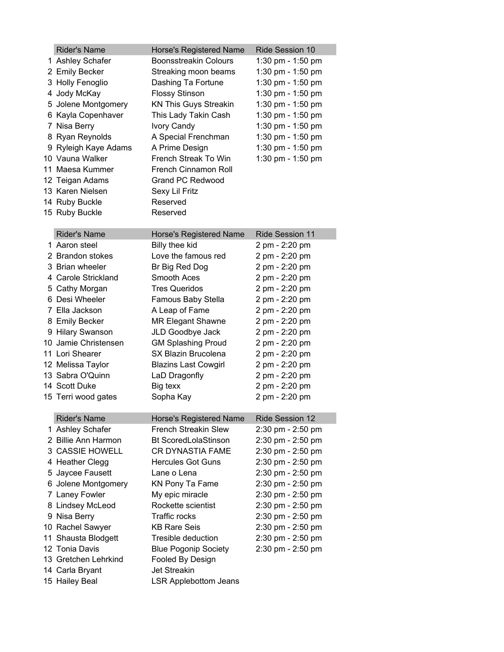| <b>Rider's Name</b>  | Horse's Registered Name        | <b>Ride Session 10</b> |
|----------------------|--------------------------------|------------------------|
| 1 Ashley Schafer     | <b>Boonsstreakin Colours</b>   | 1:30 pm - 1:50 pm      |
| 2 Emily Becker       | Streaking moon beams           | 1:30 pm - 1:50 pm      |
| 3 Holly Fenoglio     | Dashing Ta Fortune             | 1:30 pm - 1:50 pm      |
| 4 Jody McKay         | <b>Flossy Stinson</b>          | 1:30 pm - 1:50 pm      |
| 5 Jolene Montgomery  | <b>KN This Guys Streakin</b>   | 1:30 pm - 1:50 pm      |
| 6 Kayla Copenhaver   | This Lady Takin Cash           | 1:30 pm - 1:50 pm      |
| 7 Nisa Berry         | <b>Ivory Candy</b>             | 1:30 pm - 1:50 pm      |
| 8 Ryan Reynolds      | A Special Frenchman            | 1:30 pm $-$ 1:50 pm    |
| 9 Ryleigh Kaye Adams | A Prime Design                 | 1:30 pm - 1:50 pm      |
| 10 Vauna Walker      | French Streak To Win           | 1:30 pm - 1:50 pm      |
| 11 Maesa Kummer      | French Cinnamon Roll           |                        |
| 12 Teigan Adams      | <b>Grand PC Redwood</b>        |                        |
| 13 Karen Nielsen     | Sexy Lil Fritz                 |                        |
| 14 Ruby Buckle       | Reserved                       |                        |
| 15 Ruby Buckle       | Reserved                       |                        |
|                      |                                |                        |
| <b>Rider's Name</b>  | <b>Horse's Registered Name</b> | <b>Ride Session 11</b> |
| 1 Aaron steel        | Billy thee kid                 | 2 pm - 2:20 pm         |
| 2 Brandon stokes     | Love the famous red            | 2 pm - 2:20 pm         |
| 3 Brian wheeler      | Br Big Red Dog                 | 2 pm - 2:20 pm         |
| 4 Carole Strickland  | <b>Smooth Aces</b>             | 2 pm - 2:20 pm         |
| 5 Cathy Morgan       | <b>Tres Queridos</b>           | 2 pm - 2:20 pm         |
| 6 Desi Wheeler       | Famous Baby Stella             | 2 pm - 2:20 pm         |
| 7 Ella Jackson       | A Leap of Fame                 | 2 pm - 2:20 pm         |
| 8 Emily Becker       | <b>MR Elegant Shawne</b>       | 2 pm - 2:20 pm         |
| 9 Hilary Swanson     | JLD Goodbye Jack               | 2 pm - 2:20 pm         |
| 10 Jamie Christensen | <b>GM Splashing Proud</b>      | 2 pm - 2:20 pm         |
| 11 Lori Shearer      | SX Blazin Brucolena            | 2 pm - 2:20 pm         |
| 12 Melissa Taylor    | <b>Blazins Last Cowgirl</b>    | 2 pm - 2:20 pm         |
| 13 Sabra O'Quinn     | LaD Dragonfly                  | 2 pm - 2:20 pm         |
| 14 Scott Duke        | Big texx                       | 2 pm - 2:20 pm         |
| 15 Terri wood gates  | Sopha Kay                      | 2 pm - 2:20 pm         |
|                      |                                |                        |
| <b>Rider's Name</b>  | <b>Horse's Registered Name</b> | <b>Ride Session 12</b> |
| 1 Ashley Schafer     | <b>French Streakin Slew</b>    | 2:30 pm - 2:50 pm      |
| 2 Billie Ann Harmon  | <b>Bt ScoredLolaStinson</b>    | 2:30 pm - 2:50 pm      |
| 3 CASSIE HOWELL      | CR DYNASTIA FAME               | 2:30 pm - 2:50 pm      |
| 4 Heather Clegg      | <b>Hercules Got Guns</b>       | 2:30 pm - 2:50 pm      |
| 5 Jaycee Fausett     | Lane o Lena                    | 2:30 pm - 2:50 pm      |
| 6 Jolene Montgomery  | KN Pony Ta Fame                | 2:30 pm - 2:50 pm      |
| 7 Laney Fowler       | My epic miracle                | 2:30 pm - 2:50 pm      |
| 8 Lindsey McLeod     | Rockette scientist             | 2:30 pm - 2:50 pm      |
| 9 Nisa Berry         | <b>Traffic rocks</b>           | 2:30 pm - 2:50 pm      |
| 10 Rachel Sawyer     | <b>KB Rare Seis</b>            | 2:30 pm - 2:50 pm      |
| 11 Shausta Blodgett  | Tresible deduction             | 2:30 pm - 2:50 pm      |
| 12 Tonia Davis       | <b>Blue Pogonip Society</b>    | 2:30 pm - 2:50 pm      |
| 13 Gretchen Lehrkind | Fooled By Design               |                        |
| 14 Carla Bryant      | <b>Jet Streakin</b>            |                        |
| 15 Hailey Beal       | <b>LSR Applebottom Jeans</b>   |                        |
|                      |                                |                        |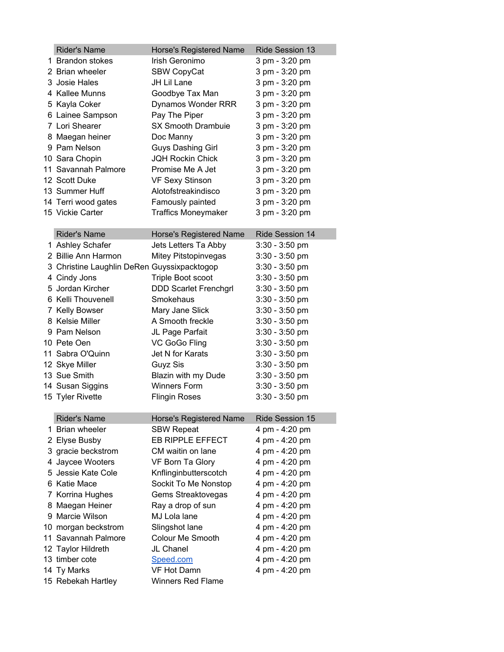| <b>Rider's Name</b>                         | Horse's Registered Name      | Ride Session 13  |
|---------------------------------------------|------------------------------|------------------|
| 1 Brandon stokes                            | Irish Geronimo               | 3 pm - 3:20 pm   |
| 2 Brian wheeler                             | <b>SBW CopyCat</b>           | 3 pm - 3:20 pm   |
| 3 Josie Hales                               | JH Lil Lane                  | 3 pm - 3:20 pm   |
| 4 Kallee Munns                              | Goodbye Tax Man              | 3 pm - 3:20 pm   |
| 5 Kayla Coker                               | Dynamos Wonder RRR           | 3 pm - 3:20 pm   |
| 6 Lainee Sampson                            | Pay The Piper                | 3 pm - 3:20 pm   |
| 7 Lori Shearer                              | <b>SX Smooth Drambuie</b>    | 3 pm - 3:20 pm   |
| 8 Maegan heiner                             | Doc Manny                    | 3 pm - 3:20 pm   |
| 9 Pam Nelson                                | Guys Dashing Girl            | 3 pm - 3:20 pm   |
| 10 Sara Chopin                              | <b>JQH Rockin Chick</b>      | 3 pm - 3:20 pm   |
| 11 Savannah Palmore                         | Promise Me A Jet             | 3 pm - 3:20 pm   |
| 12 Scott Duke                               | <b>VF Sexy Stinson</b>       | 3 pm - 3:20 pm   |
| 13 Summer Huff                              | Alotofstreakindisco          | 3 pm - 3:20 pm   |
| 14 Terri wood gates                         | Famously painted             | 3 pm - 3:20 pm   |
| 15 Vickie Carter                            | <b>Traffics Moneymaker</b>   | 3 pm - 3:20 pm   |
|                                             |                              |                  |
| <b>Rider's Name</b>                         | Horse's Registered Name      | Ride Session 14  |
| 1 Ashley Schafer                            | Jets Letters Ta Abby         | $3:30 - 3:50$ pm |
| 2 Billie Ann Harmon                         | Mitey Pitstopinvegas         | $3:30 - 3:50$ pm |
| 3 Christine Laughlin DeRen Guyssixpacktogop |                              | $3:30 - 3:50$ pm |
| 4 Cindy Jons                                | Triple Boot scoot            | $3:30 - 3:50$ pm |
| 5 Jordan Kircher                            | <b>DDD Scarlet Frenchgrl</b> | $3:30 - 3:50$ pm |
| 6 Kelli Thouvenell                          | Smokehaus                    | $3:30 - 3:50$ pm |
| 7 Kelly Bowser                              | Mary Jane Slick              | $3:30 - 3:50$ pm |
| 8 Kelsie Miller                             | A Smooth freckle             | $3:30 - 3:50$ pm |
| 9 Pam Nelson                                | JL Page Parfait              | $3:30 - 3:50$ pm |
| 10 Pete Oen                                 | VC GoGo Fling                | $3:30 - 3:50$ pm |
| 11 Sabra O'Quinn                            | Jet N for Karats             | $3:30 - 3:50$ pm |
| 12 Skye Miller                              | Guyz Sis                     | $3:30 - 3:50$ pm |
| 13 Sue Smith                                | Blazin with my Dude          | $3:30 - 3:50$ pm |
| 14 Susan Siggins                            | <b>Winners Form</b>          | $3:30 - 3:50$ pm |
| 15 Tyler Rivette                            | <b>Flingin Roses</b>         | $3:30 - 3:50$ pm |
|                                             |                              |                  |
| <b>Rider's Name</b>                         | Horse's Registered Name      | Ride Session 15  |
| 1 Brian wheeler                             | <b>SBW Repeat</b>            | 4 pm - 4:20 pm   |
| 2 Elyse Busby                               | EB RIPPLE EFFECT             | 4 pm - 4:20 pm   |
| 3 gracie beckstrom                          | CM waitin on lane            | 4 pm - 4:20 pm   |
| 4 Jaycee Wooters                            | VF Born Ta Glory             | 4 pm - 4:20 pm   |
| 5 Jessie Kate Cole                          | Knflinginbutterscotch        | 4 pm - 4:20 pm   |
| 6 Katie Mace                                | Sockit To Me Nonstop         | 4 pm - 4:20 pm   |
| 7 Korrina Hughes                            | Gems Streaktovegas           | 4 pm - 4:20 pm   |
| 8 Maegan Heiner                             | Ray a drop of sun            | 4 pm - 4:20 pm   |
| 9 Marcie Wilson                             | MJ Lola lane                 | 4 pm - 4:20 pm   |
| 10 morgan beckstrom                         | Slingshot lane               | 4 pm - 4:20 pm   |
| 11 Savannah Palmore                         | Colour Me Smooth             | 4 pm - 4:20 pm   |
| 12 Taylor Hildreth                          | JL Chanel                    | 4 pm - 4:20 pm   |
| 13 timber cote                              | Speed.com                    | 4 pm - 4:20 pm   |
| 14 Ty Marks                                 | VF Hot Damn                  | 4 pm - 4:20 pm   |
| 15 Rebekah Hartley                          | <b>Winners Red Flame</b>     |                  |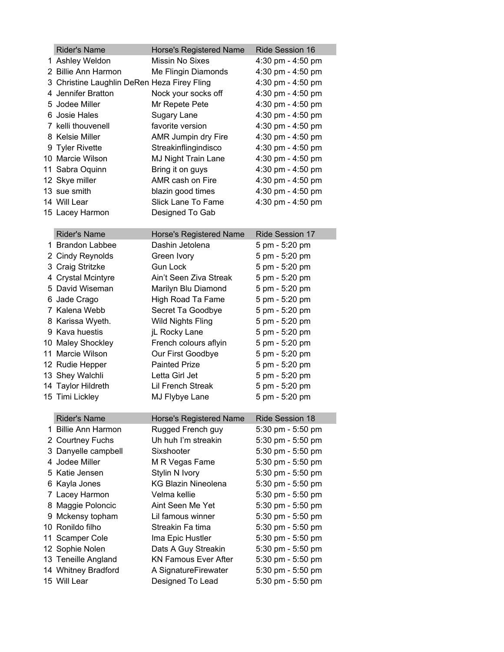| <b>Rider's Name</b>                         | Horse's Registered Name        | <b>Ride Session 16</b> |
|---------------------------------------------|--------------------------------|------------------------|
| 1 Ashley Weldon                             | Missin No Sixes                | 4:30 pm - 4:50 pm      |
| 2 Billie Ann Harmon                         | Me Flingin Diamonds            | 4:30 pm - 4:50 pm      |
| 3 Christine Laughlin DeRen Heza Firey Fling |                                | 4:30 pm - 4:50 pm      |
| 4 Jennifer Bratton                          | Nock your socks off            | 4:30 pm - 4:50 pm      |
| 5 Jodee Miller                              | Mr Repete Pete                 | 4:30 pm - 4:50 pm      |
| 6 Josie Hales                               | Sugary Lane                    | 4:30 pm - 4:50 pm      |
| 7 kelli thouvenell                          | favorite version               | 4:30 pm - 4:50 pm      |
| 8 Kelsie Miller                             | AMR Jumpin dry Fire            | 4:30 pm - 4:50 pm      |
| 9 Tyler Rivette                             | Streakinflingindisco           | 4:30 pm - 4:50 pm      |
| 10 Marcie Wilson                            | MJ Night Train Lane            | 4:30 pm - 4:50 pm      |
| 11 Sabra Oquinn                             | Bring it on guys               | 4:30 pm - 4:50 pm      |
| 12 Skye miller                              | AMR cash on Fire               | 4:30 pm - 4:50 pm      |
| 13 sue smith                                | blazin good times              | 4:30 pm - 4:50 pm      |
| 14 Will Lear                                | Slick Lane To Fame             | 4:30 pm - 4:50 pm      |
| 15 Lacey Harmon                             | Designed To Gab                |                        |
|                                             |                                |                        |
| <b>Rider's Name</b>                         | Horse's Registered Name        | <b>Ride Session 17</b> |
| 1 Brandon Labbee                            | Dashin Jetolena                | 5 pm - 5:20 pm         |
| 2 Cindy Reynolds                            | Green Ivory                    | 5 pm - 5:20 pm         |
| 3 Craig Stritzke                            | <b>Gun Lock</b>                | 5 pm - 5:20 pm         |
| 4 Crystal Mcintyre                          | Ain't Seen Ziva Streak         | 5 pm - 5:20 pm         |
| 5 David Wiseman                             | Marilyn Blu Diamond            | 5 pm - 5:20 pm         |
| 6 Jade Crago                                | High Road Ta Fame              | 5 pm - 5:20 pm         |
| 7 Kalena Webb                               | Secret Ta Goodbye              | 5 pm - 5:20 pm         |
| 8 Karissa Wyeth.                            | <b>Wild Nights Fling</b>       | 5 pm - 5:20 pm         |
| 9 Kava huestis                              | jL Rocky Lane                  | 5 pm - 5:20 pm         |
| 10 Maley Shockley                           | French colours aflyin          | 5 pm - 5:20 pm         |
| 11 Marcie Wilson                            | Our First Goodbye              | 5 pm - 5:20 pm         |
| 12 Rudie Hepper                             | <b>Painted Prize</b>           | 5 pm - 5:20 pm         |
| 13 Shey Walchli                             | Letta Girl Jet                 | 5 pm - 5:20 pm         |
| 14 Taylor Hildreth                          | Lil French Streak              | 5 pm - 5:20 pm         |
| 15 Timi Lickley                             | MJ Flybye Lane                 | 5 pm - 5:20 pm         |
|                                             |                                |                        |
| <b>Rider's Name</b>                         | <b>Horse's Registered Name</b> | Ride Session 18        |
| 1 Billie Ann Harmon                         | Rugged French guy              | 5:30 pm - 5:50 pm      |
| 2 Courtney Fuchs                            | Uh huh I'm streakin            | 5:30 pm - 5:50 pm      |
| 3 Danyelle campbell                         | Sixshooter                     | 5:30 pm - 5:50 pm      |
| 4 Jodee Miller                              | M R Vegas Fame                 | 5:30 pm - 5:50 pm      |
| 5 Katie Jensen                              | Stylin N Ivory                 | 5:30 pm - 5:50 pm      |
| 6 Kayla Jones                               | <b>KG Blazin Nineolena</b>     | 5:30 pm - 5:50 pm      |
| 7 Lacey Harmon                              | Velma kellie                   | 5:30 pm - 5:50 pm      |
| 8 Maggie Poloncic                           | Aint Seen Me Yet               | 5:30 pm - 5:50 pm      |
| 9 Mckensy topham                            | Lil famous winner              | 5:30 pm - 5:50 pm      |
| 10 Ronildo filho                            | Streakin Fa tima               | 5:30 pm - 5:50 pm      |
| 11 Scamper Cole                             | Ima Epic Hustler               | 5:30 pm - 5:50 pm      |
| 12 Sophie Nolen                             | Dats A Guy Streakin            | 5:30 pm - 5:50 pm      |
| 13 Teneille Angland                         | <b>KN Famous Ever After</b>    | 5:30 pm - 5:50 pm      |
| 14 Whitney Bradford                         | A SignatureFirewater           | 5:30 pm - 5:50 pm      |
| 15 Will Lear                                | Designed To Lead               | 5:30 pm - 5:50 pm      |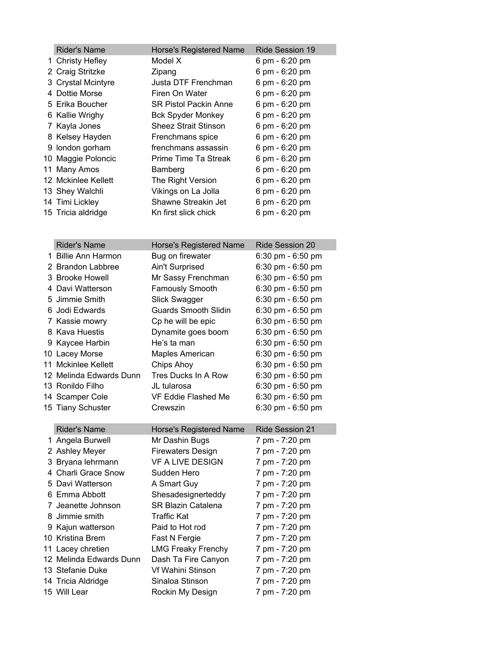| <b>Rider's Name</b>                   | Horse's Registered Name                     | Ride Session 19                        |
|---------------------------------------|---------------------------------------------|----------------------------------------|
| 1 Christy Hefley                      | Model X                                     | 6 pm - 6:20 pm                         |
| 2 Craig Stritzke                      | Zipang                                      | 6 pm - 6:20 pm                         |
| 3 Crystal Mcintyre                    | Justa DTF Frenchman                         | 6 pm - 6:20 pm                         |
| 4 Dottie Morse                        | Firen On Water                              | 6 pm - 6:20 pm                         |
| 5 Erika Boucher                       | <b>SR Pistol Packin Anne</b>                | 6 pm - 6:20 pm                         |
| 6 Kallie Wrighy                       | <b>Bck Spyder Monkey</b>                    | 6 pm - 6:20 pm                         |
| 7 Kayla Jones                         | <b>Sheez Strait Stinson</b>                 | 6 pm - 6:20 pm                         |
| 8 Kelsey Hayden                       | Frenchmans spice                            | 6 pm - 6:20 pm                         |
| 9 london gorham                       | frenchmans assassin                         | 6 pm - 6:20 pm                         |
| 10 Maggie Poloncic                    | Prime Time Ta Streak                        | 6 pm - 6:20 pm                         |
| 11 Many Amos                          | Bamberg                                     | 6 pm - 6:20 pm                         |
| 12 Mckinlee Kellett                   | The Right Version                           | 6 pm - 6:20 pm                         |
| 13 Shey Walchli                       | Vikings on La Jolla                         | 6 pm - 6:20 pm                         |
| 14 Timi Lickley                       | Shawne Streakin Jet                         | 6 pm - 6:20 pm                         |
| 15 Tricia aldridge                    | Kn first slick chick                        | 6 pm - 6:20 pm                         |
|                                       |                                             |                                        |
| <b>Rider's Name</b>                   |                                             | <b>Ride Session 20</b>                 |
| 1 Billie Ann Harmon                   | Horse's Registered Name<br>Bug on firewater | 6:30 pm - 6:50 pm                      |
| 2 Brandon Labbree                     | <b>Ain't Surprised</b>                      | 6:30 pm - 6:50 pm                      |
| 3 Brooke Howell                       | Mr Sassy Frenchman                          | 6:30 pm - 6:50 pm                      |
| 4 Davi Watterson                      | <b>Famously Smooth</b>                      | 6:30 pm - 6:50 pm                      |
| 5 Jimmie Smith                        | Slick Swagger                               | 6:30 pm - 6:50 pm                      |
| 6 Jodi Edwards                        | <b>Guards Smooth Slidin</b>                 | 6:30 pm - 6:50 pm                      |
| 7 Kassie mowry                        |                                             | 6:30 pm - 6:50 pm                      |
| 8 Kava Huestis                        | Cp he will be epic<br>Dynamite goes boom    | 6:30 pm - 6:50 pm                      |
|                                       | He's ta man                                 |                                        |
| 9 Kaycee Harbin                       |                                             | 6:30 pm - 6:50 pm                      |
| 10 Lacey Morse<br>11 Mckinlee Kellett | <b>Maples American</b>                      | 6:30 pm - 6:50 pm<br>6:30 pm - 6:50 pm |
|                                       | Chips Ahoy<br>Tres Ducks In A Row           | 6:30 pm - 6:50 pm                      |
| 12 Melinda Edwards Dunn               |                                             | 6:30 pm - 6:50 pm                      |
| 13 Ronildo Filho                      | JL tularosa                                 |                                        |
| 14 Scamper Cole                       | VF Eddie Flashed Me                         | 6:30 pm - 6:50 pm                      |
| 15 Tiany Schuster                     | Crewszin                                    | 6:30 pm - 6:50 pm                      |
| <b>Rider's Name</b>                   | <b>Horse's Registered Name</b>              | Ride Session 21                        |
| 1 Angela Burwell                      | Mr Dashin Bugs                              | 7 pm - 7:20 pm                         |
| 2 Ashley Meyer                        | <b>Firewaters Design</b>                    | 7 pm - 7:20 pm                         |
| 3 Bryana lehrmann                     | VF A LIVE DESIGN                            | 7 pm - 7:20 pm                         |
| 4 Charli Grace Snow                   | Sudden Hero                                 | 7 pm - 7:20 pm                         |
| 5 Davi Watterson                      | A Smart Guy                                 | 7 pm - 7:20 pm                         |
| 6 Emma Abbott                         | Shesadesignerteddy                          | 7 pm - 7:20 pm                         |
| 7 Jeanette Johnson                    | <b>SR Blazin Catalena</b>                   | 7 pm - 7:20 pm                         |
| 8 Jimmie smith                        | <b>Traffic Kat</b>                          | 7 pm - 7:20 pm                         |
| 9 Kajun watterson                     | Paid to Hot rod                             | 7 pm - 7:20 pm                         |
| 10 Kristina Brem                      | Fast N Fergie                               | 7 pm - 7:20 pm                         |
| 11 Lacey chretien                     | <b>LMG Freaky Frenchy</b>                   | 7 pm - 7:20 pm                         |
| 12 Melinda Edwards Dunn               | Dash Ta Fire Canyon                         | 7 pm - 7:20 pm                         |
| 13 Stefanie Duke                      | Vf Wahini Stinson                           | 7 pm - 7:20 pm                         |
| 14 Tricia Aldridge                    | Sinaloa Stinson                             | 7 pm - 7:20 pm                         |
| 15 Will Lear                          | Rockin My Design                            | 7 pm - 7:20 pm                         |